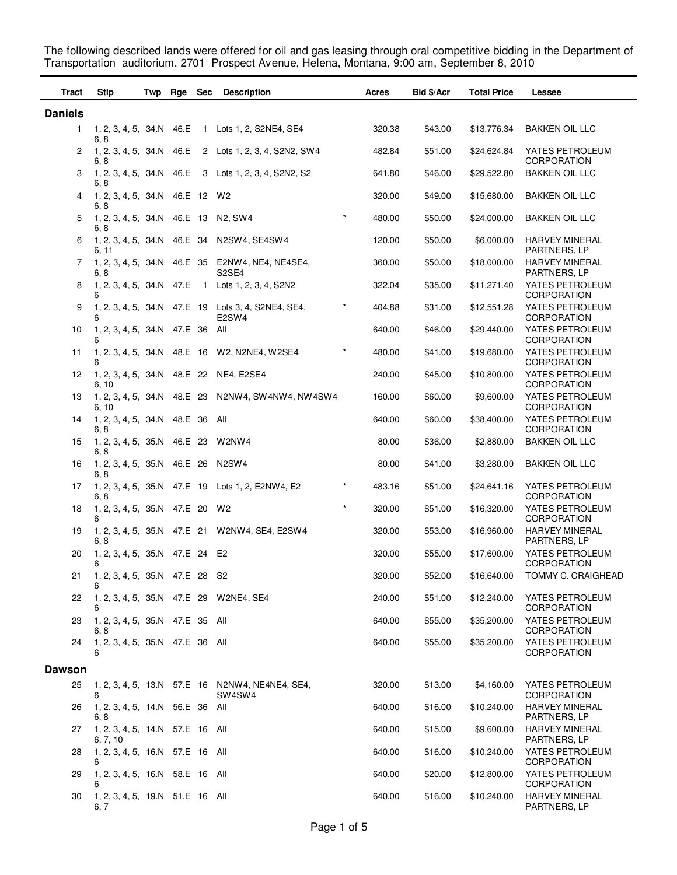The following described lands were offered for oil and gas leasing through oral competitive bidding in the Department of Transportation auditorium, 2701 Prospect Avenue, Helena, Montana, 9:00 am, September 8, 2010

| Tract          | <b>Stip</b>                                 | Twp Rge Sec |                | <b>Description</b>                                                                   |         | Acres  | Bid \$/Acr | <b>Total Price</b> | Lessee                                |
|----------------|---------------------------------------------|-------------|----------------|--------------------------------------------------------------------------------------|---------|--------|------------|--------------------|---------------------------------------|
| <b>Daniels</b> |                                             |             |                |                                                                                      |         |        |            |                    |                                       |
| 1              | 1, 2, 3, 4, 5, 34.N 46.E<br>6, 8            |             |                | 1 Lots 1, 2, S2NE4, SE4                                                              |         | 320.38 | \$43.00    | \$13,776.34        | <b>BAKKEN OIL LLC</b>                 |
| 2              | 1, 2, 3, 4, 5, 34.N 46.E<br>6, 8            |             |                | 2 Lots 1, 2, 3, 4, S2N2, SW4                                                         |         | 482.84 | \$51.00    | \$24,624.84        | YATES PETROLEUM<br>CORPORATION        |
| 3              | 1, 2, 3, 4, 5, 34.N 46.E<br>6, 8            |             |                | 3 Lots 1, 2, 3, 4, S2N2, S2                                                          |         | 641.80 | \$46.00    | \$29,522.80        | <b>BAKKEN OIL LLC</b>                 |
| 4              | 1, 2, 3, 4, 5, 34.N 46.E 12<br>6, 8         |             |                | W2                                                                                   |         | 320.00 | \$49.00    | \$15,680.00        | <b>BAKKEN OIL LLC</b>                 |
| 5              | 1, 2, 3, 4, 5, 34.N 46.E 13<br>6, 8         |             |                | N <sub>2</sub> , SW <sub>4</sub>                                                     | $\star$ | 480.00 | \$50.00    | \$24,000.00        | BAKKEN OIL LLC                        |
| 6              | 1, 2, 3, 4, 5, 34.N 46.E 34<br>6, 11        |             |                | N2SW4, SE4SW4                                                                        |         | 120.00 | \$50.00    | \$6,000.00         | <b>HARVEY MINERAL</b><br>PARTNERS, LP |
| 7              | 1, 2, 3, 4, 5, 34.N 46.E 35<br>6.8          |             |                | E2NW4, NE4, NE4SE4,<br>S <sub>2</sub> SE <sub>4</sub>                                |         | 360.00 | \$50.00    | \$18,000.00        | <b>HARVEY MINERAL</b><br>PARTNERS, LP |
| 8              | 1, 2, 3, 4, 5, 34.N 47.E<br>6               |             | $\overline{1}$ | Lots 1, 2, 3, 4, S2N2                                                                |         | 322.04 | \$35.00    | \$11,271.40        | YATES PETROLEUM<br><b>CORPORATION</b> |
| 9              | 6                                           |             |                | 1, 2, 3, 4, 5, 34.N 47.E 19 Lots 3, 4, S2NE4, SE4,<br>E <sub>2</sub> SW <sub>4</sub> |         | 404.88 | \$31.00    | \$12,551.28        | YATES PETROLEUM<br><b>CORPORATION</b> |
| 10             | 1, 2, 3, 4, 5, 34.N 47.E 36<br>6            |             |                | All                                                                                  |         | 640.00 | \$46.00    | \$29,440.00        | YATES PETROLEUM<br><b>CORPORATION</b> |
| 11             | 6                                           |             |                | 1, 2, 3, 4, 5, 34.N 48.E 16 W2, N2NE4, W2SE4                                         | $\ast$  | 480.00 | \$41.00    | \$19,680.00        | YATES PETROLEUM<br><b>CORPORATION</b> |
| 12             | 1, 2, 3, 4, 5, 34.N 48.E 22<br>6, 10        |             |                | NE4, E2SE4                                                                           |         | 240.00 | \$45.00    | \$10,800.00        | YATES PETROLEUM<br><b>CORPORATION</b> |
| 13             | 6, 10                                       |             |                | 1, 2, 3, 4, 5, 34.N 48.E 23 N2NW4, SW4NW4, NW4SW4                                    |         | 160.00 | \$60.00    | \$9,600.00         | YATES PETROLEUM<br><b>CORPORATION</b> |
| 14             | 1, 2, 3, 4, 5, 34.N 48.E 36<br>6, 8         |             |                | All                                                                                  |         | 640.00 | \$60.00    | \$38,400.00        | YATES PETROLEUM<br><b>CORPORATION</b> |
| 15             | 1, 2, 3, 4, 5, 35.N 46.E 23<br>6, 8         |             |                | W2NW4                                                                                |         | 80.00  | \$36.00    | \$2,880.00         | <b>BAKKEN OIL LLC</b>                 |
| 16             | 1, 2, 3, 4, 5, 35.N 46.E 26<br>6, 8         |             |                | N <sub>2</sub> SW <sub>4</sub>                                                       |         | 80.00  | \$41.00    | \$3,280.00         | <b>BAKKEN OIL LLC</b>                 |
| 17             | 1, 2, 3, 4, 5, 35.N 47.E 19<br>6, 8         |             |                | Lots 1, 2, E2NW4, E2                                                                 | $\ast$  | 483.16 | \$51.00    | \$24,641.16        | YATES PETROLEUM<br><b>CORPORATION</b> |
| 18             | 1, 2, 3, 4, 5, 35.N 47.E 20<br>6            |             |                | W2                                                                                   | $\star$ | 320.00 | \$51.00    | \$16,320.00        | YATES PETROLEUM<br><b>CORPORATION</b> |
| 19             | 6, 8                                        |             |                | 1, 2, 3, 4, 5, 35.N 47.E 21 W2NW4, SE4, E2SW4                                        |         | 320.00 | \$53.00    | \$16,960.00        | <b>HARVEY MINERAL</b><br>PARTNERS, LP |
| 20             | 1, 2, 3, 4, 5, 35.N 47.E 24 E2<br>6         |             |                |                                                                                      |         | 320.00 | \$55.00    | \$17,600.00        | YATES PETROLEUM<br>CORPORATION        |
|                | 21  1, 2, 3, 4, 5, 35.N  47.E  28  S2<br>6  |             |                |                                                                                      |         | 320.00 | \$52.00    | \$16,640.00        | TOMMY C. CRAIGHEAD                    |
| 22             | 6                                           |             |                | 1, 2, 3, 4, 5, 35.N 47.E 29 W2NE4, SE4                                               |         | 240.00 | \$51.00    | \$12,240.00        | YATES PETROLEUM<br><b>CORPORATION</b> |
| 23             | 1, 2, 3, 4, 5, 35.N 47.E 35 All<br>6, 8     |             |                |                                                                                      |         | 640.00 | \$55.00    | \$35,200.00        | YATES PETROLEUM<br><b>CORPORATION</b> |
| 24             | 1, 2, 3, 4, 5, 35.N 47.E 36 All<br>6        |             |                |                                                                                      |         | 640.00 | \$55.00    | \$35,200.00        | YATES PETROLEUM<br>CORPORATION        |
| <b>Dawson</b>  |                                             |             |                |                                                                                      |         |        |            |                    |                                       |
| 25             | 6                                           |             |                | 1, 2, 3, 4, 5, 13.N 57.E 16 N2NW4, NE4NE4, SE4,<br>SW4SW4                            |         | 320.00 | \$13.00    | \$4,160.00         | YATES PETROLEUM<br><b>CORPORATION</b> |
| 26             | 1, 2, 3, 4, 5, 14.N 56.E 36 All<br>6.8      |             |                |                                                                                      |         | 640.00 | \$16.00    | \$10,240.00        | <b>HARVEY MINERAL</b><br>PARTNERS, LP |
| 27             | 1, 2, 3, 4, 5, 14.N 57.E 16 All<br>6, 7, 10 |             |                |                                                                                      |         | 640.00 | \$15.00    | \$9,600.00         | <b>HARVEY MINERAL</b><br>PARTNERS, LP |
| 28             | 1, 2, 3, 4, 5, 16.N 57.E 16 All<br>6        |             |                |                                                                                      |         | 640.00 | \$16.00    | \$10,240.00        | YATES PETROLEUM<br><b>CORPORATION</b> |
| 29             | 1, 2, 3, 4, 5, 16.N 58.E 16 All<br>6        |             |                |                                                                                      |         | 640.00 | \$20.00    | \$12,800.00        | YATES PETROLEUM<br><b>CORPORATION</b> |
| 30             | 1, 2, 3, 4, 5, 19.N 51.E 16 All<br>6, 7     |             |                |                                                                                      |         | 640.00 | \$16.00    | \$10,240.00        | <b>HARVEY MINERAL</b><br>PARTNERS, LP |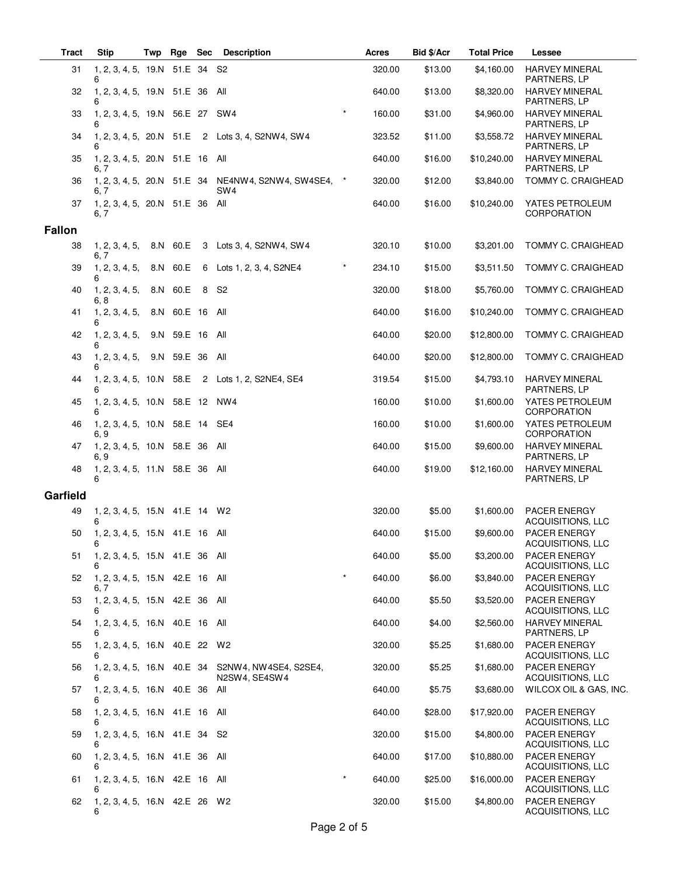| <b>Tract</b>  | <b>Stip</b>                             | Twp | Rge             | <b>Sec</b> | <b>Description</b>                                                 |         | Acres  | Bid \$/Acr | <b>Total Price</b> | Lessee                                   |
|---------------|-----------------------------------------|-----|-----------------|------------|--------------------------------------------------------------------|---------|--------|------------|--------------------|------------------------------------------|
| 31            | 1, 2, 3, 4, 5, 19.N<br>6                |     | 51.E 34 S2      |            |                                                                    |         | 320.00 | \$13.00    | \$4,160.00         | <b>HARVEY MINERAL</b><br>PARTNERS, LP    |
| 32            | 1, 2, 3, 4, 5, 19.N 51.E 36 All<br>6    |     |                 |            |                                                                    |         | 640.00 | \$13.00    | \$8,320.00         | <b>HARVEY MINERAL</b><br>PARTNERS, LP    |
| 33            | 1, 2, 3, 4, 5, 19.N 56.E 27 SW4<br>6    |     |                 |            |                                                                    | $\star$ | 160.00 | \$31.00    | \$4,960.00         | <b>HARVEY MINERAL</b><br>PARTNERS, LP    |
| 34            |                                         |     |                 |            | 1, 2, 3, 4, 5, 20.N 51.E 2 Lots 3, 4, S2NW4, SW4                   |         | 323.52 | \$11.00    | \$3,558.72         | <b>HARVEY MINERAL</b><br>PARTNERS, LP    |
| 35            | 1, 2, 3, 4, 5, 20.N 51.E 16 All<br>6, 7 |     |                 |            |                                                                    |         | 640.00 | \$16.00    | \$10,240.00        | <b>HARVEY MINERAL</b><br>PARTNERS, LP    |
| 36            | 6, 7                                    |     |                 |            | 1, 2, 3, 4, 5, 20.N 51.E 34 NE4NW4, S2NW4, SW4SE4, *<br>SW4        |         | 320.00 | \$12.00    | \$3,840.00         | <b>TOMMY C. CRAIGHEAD</b>                |
| 37            | 1, 2, 3, 4, 5, 20.N 51.E 36 All<br>6, 7 |     |                 |            |                                                                    |         | 640.00 | \$16.00    | \$10,240.00        | YATES PETROLEUM<br><b>CORPORATION</b>    |
| <b>Fallon</b> |                                         |     |                 |            |                                                                    |         |        |            |                    |                                          |
| 38            | 1, 2, 3, 4, 5,<br>6, 7                  |     | 8.N 60.E        |            | 3 Lots 3, 4, S2NW4, SW4                                            |         | 320.10 | \$10.00    | \$3,201.00         | TOMMY C. CRAIGHEAD                       |
| 39            | 1, 2, 3, 4, 5,<br>6                     |     | 8.N 60.E        |            | 6 Lots 1, 2, 3, 4, S2NE4                                           | $\star$ | 234.10 | \$15.00    | \$3,511.50         | TOMMY C. CRAIGHEAD                       |
| 40            | 1, 2, 3, 4, 5,<br>6, 8                  |     | 8.N 60.E        | 8          | S <sub>2</sub>                                                     |         | 320.00 | \$18.00    | \$5,760.00         | TOMMY C. CRAIGHEAD                       |
| 41            | 1, 2, 3, 4, 5,<br>6                     |     | 8.N 60.E 16 All |            |                                                                    |         | 640.00 | \$16.00    | \$10,240.00        | TOMMY C. CRAIGHEAD                       |
| 42            | 1, 2, 3, 4, 5,<br>6                     |     | 9.N 59.E 16 All |            |                                                                    |         | 640.00 | \$20.00    | \$12,800.00        | TOMMY C. CRAIGHEAD                       |
| 43            | 1, 2, 3, 4, 5,<br>6                     |     | 9.N 59.E 36 All |            |                                                                    |         | 640.00 | \$20.00    | \$12,800.00        | TOMMY C. CRAIGHEAD                       |
| 44            | 6                                       |     |                 |            | 1, 2, 3, 4, 5, 10.N 58.E 2 Lots 1, 2, S2NE4, SE4                   |         | 319.54 | \$15.00    | \$4,793.10         | <b>HARVEY MINERAL</b><br>PARTNERS, LP    |
| 45            | 1, 2, 3, 4, 5, 10.N 58.E 12             |     |                 |            | NW4                                                                |         | 160.00 | \$10.00    | \$1,600.00         | YATES PETROLEUM<br><b>CORPORATION</b>    |
| 46            | 1, 2, 3, 4, 5, 10.N 58.E 14 SE4<br>6, 9 |     |                 |            |                                                                    |         | 160.00 | \$10.00    | \$1,600.00         | YATES PETROLEUM<br><b>CORPORATION</b>    |
| 47            | 1, 2, 3, 4, 5, 10.N 58.E 36 All<br>6, 9 |     |                 |            |                                                                    |         | 640.00 | \$15.00    | \$9,600.00         | <b>HARVEY MINERAL</b><br>PARTNERS, LP    |
| 48            | 1, 2, 3, 4, 5, 11.N 58.E 36 All<br>6    |     |                 |            |                                                                    |         | 640.00 | \$19.00    | \$12,160.00        | <b>HARVEY MINERAL</b><br>PARTNERS, LP    |
| Garfield      |                                         |     |                 |            |                                                                    |         |        |            |                    |                                          |
| 49            | 1, 2, 3, 4, 5, 15.N 41.E 14 W2<br>6     |     |                 |            |                                                                    |         | 320.00 | \$5.00     | \$1,600.00         | PACER ENERGY<br>ACQUISITIONS, LLC        |
| 50            | 1, 2, 3, 4, 5, 15.N 41.E 16 All<br>6    |     |                 |            |                                                                    |         | 640.00 | \$15.00    | \$9,600.00         | PACER ENERGY<br>ACQUISITIONS, LLC        |
| 51            | 1, 2, 3, 4, 5, 15.N 41.E 36 All<br>6    |     |                 |            |                                                                    |         | 640.00 | \$5.00     | \$3,200.00         | PACER ENERGY<br>ACQUISITIONS, LLC        |
| 52            | 1, 2, 3, 4, 5, 15.N 42.E 16 All<br>6, 7 |     |                 |            |                                                                    | $\star$ | 640.00 | \$6.00     | \$3,840.00         | PACER ENERGY<br>ACQUISITIONS, LLC        |
| 53            | 1, 2, 3, 4, 5, 15.N 42.E 36 All<br>6    |     |                 |            |                                                                    |         | 640.00 | \$5.50     | \$3,520.00         | PACER ENERGY<br>ACQUISITIONS, LLC        |
| 54            | 1, 2, 3, 4, 5, 16.N 40.E 16 All<br>6    |     |                 |            |                                                                    |         | 640.00 | \$4.00     | \$2,560.00         | <b>HARVEY MINERAL</b><br>PARTNERS, LP    |
| 55            | 1, 2, 3, 4, 5, 16.N 40.E 22 W2<br>6     |     |                 |            |                                                                    |         | 320.00 | \$5.25     | \$1,680.00         | PACER ENERGY<br>ACQUISITIONS, LLC        |
| 56            | 6                                       |     |                 |            | 1, 2, 3, 4, 5, 16.N 40.E 34 S2NW4, NW4SE4, S2SE4,<br>N2SW4, SE4SW4 |         | 320.00 | \$5.25     | \$1,680.00         | PACER ENERGY<br>ACQUISITIONS, LLC        |
| 57            | 1, 2, 3, 4, 5, 16.N 40.E 36 All<br>6    |     |                 |            |                                                                    |         | 640.00 | \$5.75     | \$3,680.00         | WILCOX OIL & GAS, INC.                   |
| 58            | 1, 2, 3, 4, 5, 16.N 41.E 16 All<br>6    |     |                 |            |                                                                    |         | 640.00 | \$28.00    | \$17,920.00        | PACER ENERGY<br>ACQUISITIONS, LLC        |
| 59            | 1, 2, 3, 4, 5, 16.N 41.E 34 S2<br>6     |     |                 |            |                                                                    |         | 320.00 | \$15.00    | \$4,800.00         | PACER ENERGY<br>ACQUISITIONS, LLC        |
| 60            | 1, 2, 3, 4, 5, 16.N 41.E 36 All<br>6    |     |                 |            |                                                                    |         | 640.00 | \$17.00    | \$10,880.00        | PACER ENERGY<br>ACQUISITIONS, LLC        |
| 61            | 1, 2, 3, 4, 5, 16.N 42.E 16 All         |     |                 |            |                                                                    |         | 640.00 | \$25.00    | \$16,000.00        | PACER ENERGY<br>ACQUISITIONS, LLC        |
| 62            | 1, 2, 3, 4, 5, 16.N 42.E 26 W2<br>6     |     |                 |            |                                                                    |         | 320.00 | \$15.00    | \$4,800.00         | <b>PACER ENERGY</b><br>ACQUISITIONS, LLC |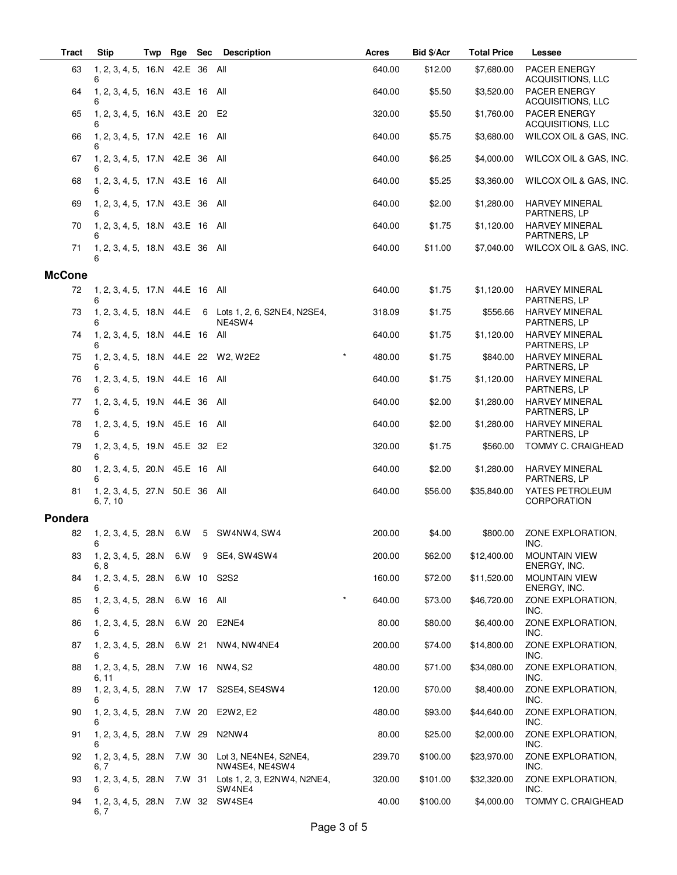| <b>Tract</b>  | <b>Stip</b>                                 | Twp | Rge        | <b>Sec</b> | <b>Description</b>                           | Acres             | Bid \$/Acr | <b>Total Price</b> | Lessee                                                        |
|---------------|---------------------------------------------|-----|------------|------------|----------------------------------------------|-------------------|------------|--------------------|---------------------------------------------------------------|
| 63            | 1, 2, 3, 4, 5, 16.N 42.E 36 All             |     |            |            |                                              | 640.00            | \$12.00    | \$7,680.00         | PACER ENERGY                                                  |
| 64            | 6<br>1, 2, 3, 4, 5, 16.N 43.E 16 All<br>6   |     |            |            |                                              | 640.00            | \$5.50     | \$3,520.00         | ACQUISITIONS, LLC<br>PACER ENERGY<br><b>ACQUISITIONS, LLC</b> |
| 65            | 1, 2, 3, 4, 5, 16.N 43.E 20                 |     |            |            | E2                                           | 320.00            | \$5.50     | \$1,760.00         | PACER ENERGY                                                  |
| 66            | 6<br>1, 2, 3, 4, 5, 17.N 42.E 16            |     |            |            | All                                          | 640.00            | \$5.75     | \$3,680.00         | ACQUISITIONS, LLC<br>WILCOX OIL & GAS, INC.                   |
| 67            | 1, 2, 3, 4, 5, 17.N 42.E 36<br>6            |     |            |            | All                                          | 640.00            | \$6.25     | \$4,000.00         | WILCOX OIL & GAS, INC.                                        |
| 68            | 1, 2, 3, 4, 5, 17.N 43.E 16 All<br>6        |     |            |            |                                              | 640.00            | \$5.25     | \$3,360.00         | WILCOX OIL & GAS, INC.                                        |
| 69            | 1, 2, 3, 4, 5, 17.N 43.E 36                 |     |            |            | All                                          | 640.00            | \$2.00     | \$1,280.00         | <b>HARVEY MINERAL</b><br>PARTNERS, LP                         |
| 70            | 1, 2, 3, 4, 5, 18.N 43.E 16 All<br>6        |     |            |            |                                              | 640.00            | \$1.75     | \$1,120.00         | <b>HARVEY MINERAL</b><br>PARTNERS, LP                         |
| 71            | 1, 2, 3, 4, 5, 18.N 43.E 36 All<br>6        |     |            |            |                                              | 640.00            | \$11.00    | \$7,040.00         | WILCOX OIL & GAS, INC.                                        |
| <b>McCone</b> |                                             |     |            |            |                                              |                   |            |                    |                                                               |
| 72            | 1, 2, 3, 4, 5, 17.N 44.E 16 All<br>6        |     |            |            |                                              | 640.00            | \$1.75     | \$1,120.00         | <b>HARVEY MINERAL</b><br><b>PARTNERS, LP</b>                  |
| 73            | 1, 2, 3, 4, 5, 18.N 44.E<br>6               |     |            |            | 6 Lots 1, 2, 6, S2NE4, N2SE4,<br>NE4SW4      | 318.09            | \$1.75     | \$556.66           | <b>HARVEY MINERAL</b><br>PARTNERS, LP                         |
| 74            | 1, 2, 3, 4, 5, 18.N 44.E 16                 |     |            |            | All                                          | 640.00            | \$1.75     | \$1,120.00         | <b>HARVEY MINERAL</b><br>PARTNERS, LP                         |
| 75            | 1, 2, 3, 4, 5, 18.N 44.E 22 W2, W2E2<br>6   |     |            |            |                                              | $\star$<br>480.00 | \$1.75     | \$840.00           | HARVEY MINERAL<br>PARTNERS, LP                                |
| 76            | 1, 2, 3, 4, 5, 19.N 44.E 16 All<br>6        |     |            |            |                                              | 640.00            | \$1.75     | \$1,120.00         | <b>HARVEY MINERAL</b><br>PARTNERS, LP                         |
| 77            | 1, 2, 3, 4, 5, 19.N 44.E 36                 |     |            |            | All                                          | 640.00            | \$2.00     | \$1,280.00         | <b>HARVEY MINERAL</b><br>PARTNERS, LP                         |
| 78            | 1, 2, 3, 4, 5, 19.N 45.E 16 All<br>6        |     |            |            |                                              | 640.00            | \$2.00     | \$1,280.00         | <b>HARVEY MINERAL</b><br>PARTNERS, LP                         |
| 79            | 1, 2, 3, 4, 5, 19.N 45.E 32<br>6            |     |            |            | E2                                           | 320.00            | \$1.75     | \$560.00           | TOMMY C. CRAIGHEAD                                            |
| 80            | 1, 2, 3, 4, 5, 20.N 45.E 16<br>6            |     |            |            | All                                          | 640.00            | \$2.00     | \$1,280.00         | <b>HARVEY MINERAL</b><br>PARTNERS, LP                         |
| 81            | 1, 2, 3, 4, 5, 27.N 50.E 36 All<br>6, 7, 10 |     |            |            |                                              | 640.00            | \$56.00    | \$35,840.00        | YATES PETROLEUM<br>CORPORATION                                |
| Pondera       |                                             |     |            |            |                                              |                   |            |                    |                                                               |
| 82            | 1, 2, 3, 4, 5, 28.N 6.W<br>6                |     |            |            | 5 SW4NW4, SW4                                | 200.00            | \$4.00     | \$800.00           | ZONE EXPLORATION,<br>INC.                                     |
| 83            | 1, 2, 3, 4, 5, 28.N 6.W<br>6, 8             |     |            | 9          | SE4, SW4SW4                                  | 200.00            | \$62.00    | \$12,400.00        | <b>MOUNTAIN VIEW</b><br>ENERGY, INC.                          |
| 84            | 1, 2, 3, 4, 5, 28.N<br>6                    |     |            |            | 6.W 10 S2S2                                  | 160.00            | \$72.00    | \$11,520.00        | <b>MOUNTAIN VIEW</b><br>ENERGY, INC.                          |
| 85            | 1, 2, 3, 4, 5, 28.N<br>6                    |     | 6.W 16 All |            |                                              | $\star$<br>640.00 | \$73.00    | \$46,720.00        | ZONE EXPLORATION,<br>INC.                                     |
| 86            | 1, 2, 3, 4, 5, 28.N                         |     | 6.W 20     |            | E2NE4                                        | 80.00             | \$80.00    | \$6,400.00         | ZONE EXPLORATION,<br>INC.                                     |
| 87            | 1, 2, 3, 4, 5, 28.N<br>6                    |     | 6.W 21     |            | NW4, NW4NE4                                  | 200.00            | \$74.00    | \$14,800.00        | ZONE EXPLORATION,<br>INC.                                     |
| 88            | 1, 2, 3, 4, 5, 28.N<br>6, 11                |     |            |            | 7.W 16 NW4, S2                               | 480.00            | \$71.00    | \$34,080.00        | ZONE EXPLORATION,<br>INC.                                     |
| 89            | 1, 2, 3, 4, 5, 28.N<br>6                    |     | 7.W 17     |            | S2SE4, SE4SW4                                | 120.00            | \$70.00    | \$8,400.00         | ZONE EXPLORATION,<br>INC.                                     |
| 90            | 1, 2, 3, 4, 5, 28.N                         |     | 7.W 20     |            | E2W2, E2                                     | 480.00            | \$93.00    | \$44,640.00        | ZONE EXPLORATION,<br>INC.                                     |
| 91            | 1, 2, 3, 4, 5, 28.N<br>6                    |     | 7.W 29     |            | N2NW4                                        | 80.00             | \$25.00    | \$2,000.00         | ZONE EXPLORATION,<br>INC.                                     |
| 92            | 1, 2, 3, 4, 5, 28.N<br>6, 7                 |     | 7.W 30     |            | Lot 3, NE4NE4, S2NE4,<br>NW4SE4, NE4SW4      | 239.70            | \$100.00   | \$23,970.00        | ZONE EXPLORATION,<br>INC.                                     |
| 93            | 1, 2, 3, 4, 5, 28.N                         |     |            |            | 7.W 31 Lots 1, 2, 3, E2NW4, N2NE4,<br>SW4NE4 | 320.00            | \$101.00   | \$32,320.00        | ZONE EXPLORATION,<br>INC.                                     |
| 94            | 1, 2, 3, 4, 5, 28.N 7.W 32 SW4SE4<br>6, 7   |     |            |            |                                              | 40.00             | \$100.00   | \$4,000.00         | TOMMY C. CRAIGHEAD                                            |

 $\overline{\phantom{0}}$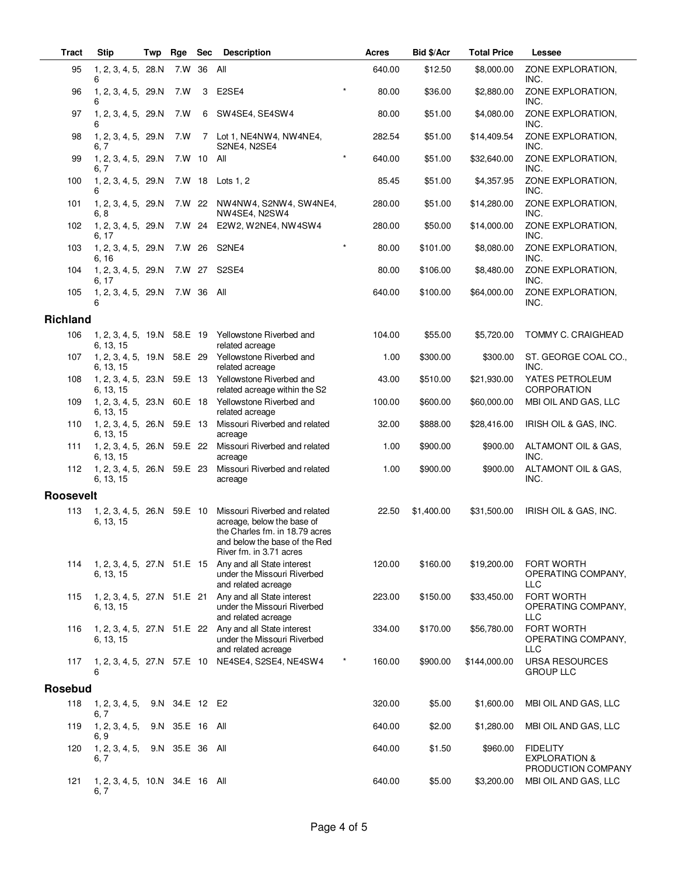| <b>Tract</b>     | <b>Stip</b>                              | Twp | Rge             | <b>Sec</b> | <b>Description</b>                                                                                                                                        | <b>Acres</b>      | Bid \$/Acr | <b>Total Price</b> | Lessee                                                            |
|------------------|------------------------------------------|-----|-----------------|------------|-----------------------------------------------------------------------------------------------------------------------------------------------------------|-------------------|------------|--------------------|-------------------------------------------------------------------|
| 95               | 1, 2, 3, 4, 5, 28.N<br>6                 |     | 7.W             | 36         | All                                                                                                                                                       | 640.00            | \$12.50    | \$8,000.00         | ZONE EXPLORATION,<br>INC.                                         |
| 96               | 1, 2, 3, 4, 5, 29.N<br>6                 |     | 7.W             | 3          | E2SE4                                                                                                                                                     | $\star$<br>80.00  | \$36.00    | \$2,880.00         | ZONE EXPLORATION,<br>INC.                                         |
| 97               | 1, 2, 3, 4, 5, 29.N<br>6                 |     | 7.W             | 6          | SW4SE4, SE4SW4                                                                                                                                            | 80.00             | \$51.00    | \$4,080.00         | ZONE EXPLORATION,<br>INC.                                         |
| 98               | 1, 2, 3, 4, 5, 29.N<br>6, 7              |     | 7.W             | 7          | Lot 1, NE4NW4, NW4NE4,<br>S2NE4, N2SE4                                                                                                                    | 282.54            | \$51.00    | \$14,409.54        | ZONE EXPLORATION,<br>INC.                                         |
| 99               | 1, 2, 3, 4, 5, 29.N<br>6, 7              |     | 7.W 10          |            | All                                                                                                                                                       | $\star$<br>640.00 | \$51.00    | \$32,640.00        | ZONE EXPLORATION,<br>INC.                                         |
| 100              | 1, 2, 3, 4, 5, 29.N<br>6                 |     | 7.W 18          |            | Lots $1, 2$                                                                                                                                               | 85.45             | \$51.00    | \$4,357.95         | ZONE EXPLORATION,<br>INC.                                         |
| 101              | 1, 2, 3, 4, 5, 29.N<br>6, 8              |     | 7.W 22          |            | NW4NW4, S2NW4, SW4NE4,<br>NW4SE4, N2SW4                                                                                                                   | 280.00            | \$51.00    | \$14,280.00        | ZONE EXPLORATION,<br>INC.                                         |
| 102              | 1, 2, 3, 4, 5, 29.N<br>6, 17             |     | 7.W 24          |            | E2W2, W2NE4, NW4SW4                                                                                                                                       | 280.00            | \$50.00    | \$14,000.00        | ZONE EXPLORATION,<br>INC.                                         |
| 103              | 1, 2, 3, 4, 5, 29.N<br>6, 16             |     | 7.W 26          |            | S2NE4                                                                                                                                                     | $\star$<br>80.00  | \$101.00   | \$8,080.00         | ZONE EXPLORATION,<br>INC.                                         |
| 104              | 1, 2, 3, 4, 5, 29.N<br>6, 17             |     | 7.W 27          |            | S2SE4                                                                                                                                                     | 80.00             | \$106.00   | \$8,480.00         | ZONE EXPLORATION,<br>INC.                                         |
| 105              | 1, 2, 3, 4, 5, 29.N<br>6                 |     | 7.W 36          |            | All                                                                                                                                                       | 640.00            | \$100.00   | \$64,000.00        | ZONE EXPLORATION,<br>INC.                                         |
| <b>Richland</b>  |                                          |     |                 |            |                                                                                                                                                           |                   |            |                    |                                                                   |
| 106              | 6, 13, 15                                |     |                 |            | 1, 2, 3, 4, 5, 19.N 58.E 19 Yellowstone Riverbed and<br>related acreage                                                                                   | 104.00            | \$55.00    | \$5,720.00         | TOMMY C. CRAIGHEAD                                                |
| 107              | 1, 2, 3, 4, 5, 19.N 58.E 29<br>6, 13, 15 |     |                 |            | Yellowstone Riverbed and<br>related acreage                                                                                                               | 1.00              | \$300.00   | \$300.00           | ST. GEORGE COAL CO.,<br>INC.                                      |
| 108              | 1, 2, 3, 4, 5, 23.N 59.E 13<br>6, 13, 15 |     |                 |            | Yellowstone Riverbed and<br>related acreage within the S2                                                                                                 | 43.00             | \$510.00   | \$21,930.00        | YATES PETROLEUM<br><b>CORPORATION</b>                             |
| 109              | 1, 2, 3, 4, 5, 23.N<br>6, 13, 15         |     | 60.E 18         |            | Yellowstone Riverbed and<br>related acreage                                                                                                               | 100.00            | \$600.00   | \$60,000.00        | MBI OIL AND GAS, LLC                                              |
| 110              | 1, 2, 3, 4, 5, 26.N 59.E 13<br>6, 13, 15 |     |                 |            | Missouri Riverbed and related<br>acreage                                                                                                                  | 32.00             | \$888.00   | \$28,416.00        | IRISH OIL & GAS, INC.                                             |
| 111              | 1, 2, 3, 4, 5, 26.N 59.E 22<br>6, 13, 15 |     |                 |            | Missouri Riverbed and related<br>acreage                                                                                                                  | 1.00              | \$900.00   | \$900.00           | ALTAMONT OIL & GAS,<br>INC.                                       |
| 112              | 1, 2, 3, 4, 5, 26.N<br>6, 13, 15         |     | 59.E 23         |            | Missouri Riverbed and related<br>acreage                                                                                                                  | 1.00              | \$900.00   | \$900.00           | ALTAMONT OIL & GAS,<br>INC.                                       |
| <b>Roosevelt</b> |                                          |     |                 |            |                                                                                                                                                           |                   |            |                    |                                                                   |
| 113              | 1, 2, 3, 4, 5, 26.N 59.E 10<br>6, 13, 15 |     |                 |            | Missouri Riverbed and related<br>acreage, below the base of<br>the Charles fm. in 18.79 acres<br>and below the base of the Red<br>River fm. in 3.71 acres | 22.50             | \$1,400.00 | \$31,500.00        | IRISH OIL & GAS, INC.                                             |
| 114              | 1, 2, 3, 4, 5, 27.N 51.E 15<br>6, 13, 15 |     |                 |            | Any and all State interest<br>under the Missouri Riverbed<br>and related acreage                                                                          | 120.00            | \$160.00   | \$19,200.00        | FORT WORTH<br>OPERATING COMPANY,<br><b>LLC</b>                    |
| 115              | 1, 2, 3, 4, 5, 27.N 51.E 21<br>6, 13, 15 |     |                 |            | Any and all State interest<br>under the Missouri Riverbed<br>and related acreage                                                                          | 223.00            | \$150.00   | \$33,450.00        | <b>FORT WORTH</b><br>OPERATING COMPANY,<br>LLC                    |
| 116              | 1, 2, 3, 4, 5, 27.N 51.E 22<br>6, 13, 15 |     |                 |            | Any and all State interest<br>under the Missouri Riverbed<br>and related acreage                                                                          | 334.00            | \$170.00   | \$56,780.00        | FORT WORTH<br>OPERATING COMPANY,<br>LLC                           |
| 117              | 1, 2, 3, 4, 5, 27.N 57.E 10<br>6         |     |                 |            | NE4SE4, S2SE4, NE4SW4                                                                                                                                     | $\ast$<br>160.00  | \$900.00   | \$144,000.00       | <b>URSA RESOURCES</b><br><b>GROUP LLC</b>                         |
| <b>Rosebud</b>   |                                          |     |                 |            |                                                                                                                                                           |                   |            |                    |                                                                   |
| 118              | 1, 2, 3, 4, 5,<br>6, 7                   |     | 9.N 34.E 12 E2  |            |                                                                                                                                                           | 320.00            | \$5.00     | \$1,600.00         | MBI OIL AND GAS, LLC                                              |
| 119              | 1, 2, 3, 4, 5,<br>6, 9                   | 9.N | 35.E 16 All     |            |                                                                                                                                                           | 640.00            | \$2.00     | \$1,280.00         | MBI OIL AND GAS, LLC                                              |
| 120              | 1, 2, 3, 4, 5,<br>6, 7                   |     | 9.N 35.E 36 All |            |                                                                                                                                                           | 640.00            | \$1.50     | \$960.00           | <b>FIDELITY</b><br><b>EXPLORATION &amp;</b><br>PRODUCTION COMPANY |
| 121              | 1, 2, 3, 4, 5, 10.N 34.E 16 All<br>6, 7  |     |                 |            |                                                                                                                                                           | 640.00            | \$5.00     | \$3,200.00         | MBI OIL AND GAS, LLC                                              |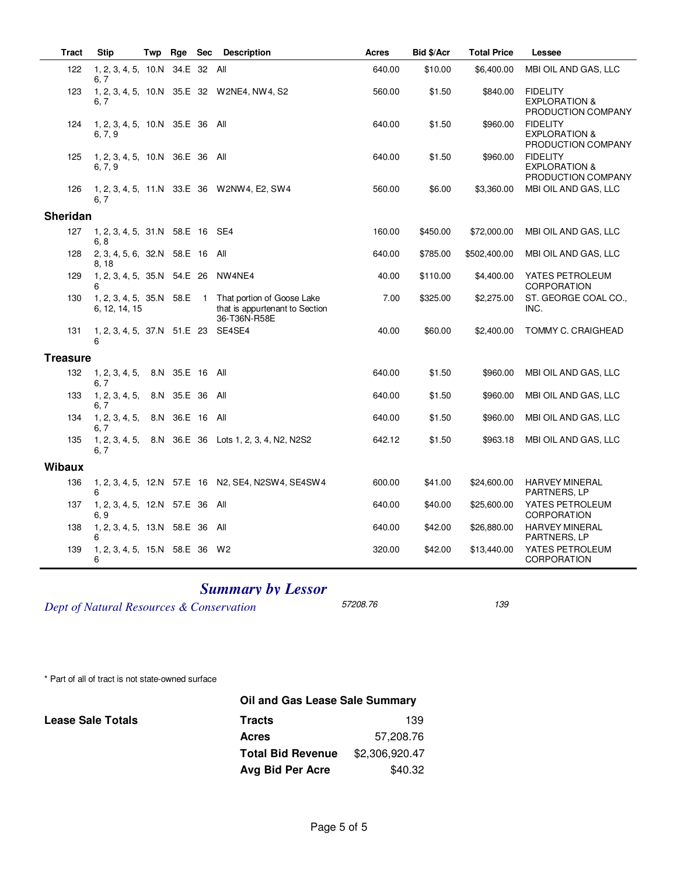| <b>Tract</b>    | <b>Stip</b>                                | Twp | Rge             | <b>Sec</b> | <b>Description</b>                                                                                      | Acres  | Bid \$/Acr | <b>Total Price</b> | Lessee                                                            |
|-----------------|--------------------------------------------|-----|-----------------|------------|---------------------------------------------------------------------------------------------------------|--------|------------|--------------------|-------------------------------------------------------------------|
| 122             | 1, 2, 3, 4, 5, 10.N 34.E 32 All<br>6, 7    |     |                 |            |                                                                                                         | 640.00 | \$10.00    | \$6,400.00         | MBI OIL AND GAS, LLC                                              |
| 123             | 6, 7                                       |     |                 |            | 1, 2, 3, 4, 5, 10.N 35.E 32 W2NE4, NW4, S2                                                              | 560.00 | \$1.50     | \$840.00           | <b>FIDELITY</b><br><b>EXPLORATION &amp;</b><br>PRODUCTION COMPANY |
| 124             | 1, 2, 3, 4, 5, 10.N 35.E 36 All<br>6, 7, 9 |     |                 |            |                                                                                                         | 640.00 | \$1.50     | \$960.00           | <b>FIDELITY</b><br><b>EXPLORATION &amp;</b><br>PRODUCTION COMPANY |
| 125             | 1, 2, 3, 4, 5, 10.N 36.E 36 All<br>6, 7, 9 |     |                 |            |                                                                                                         | 640.00 | \$1.50     | \$960.00           | <b>FIDELITY</b><br><b>EXPLORATION &amp;</b><br>PRODUCTION COMPANY |
| 126             | 6, 7                                       |     |                 |            | 1, 2, 3, 4, 5, 11.N 33.E 36 W2NW4, E2, SW4                                                              | 560.00 | \$6.00     | \$3,360.00         | MBI OIL AND GAS, LLC                                              |
| Sheridan        |                                            |     |                 |            |                                                                                                         |        |            |                    |                                                                   |
| 127             | 1, 2, 3, 4, 5, 31.N 58.E 16 SE4<br>6, 8    |     |                 |            |                                                                                                         | 160.00 | \$450.00   | \$72,000.00        | MBI OIL AND GAS, LLC                                              |
| 128             | 2, 3, 4, 5, 6, 32.N 58.E 16 All<br>8, 18   |     |                 |            |                                                                                                         | 640.00 | \$785.00   | \$502,400.00       | MBI OIL AND GAS, LLC                                              |
| 129             | 1, 2, 3, 4, 5, 35.N 54.E 26 NW4NE4<br>6    |     |                 |            |                                                                                                         | 40.00  | \$110.00   | \$4,400.00         | YATES PETROLEUM<br><b>CORPORATION</b>                             |
| 130             | 6, 12, 14, 15                              |     |                 |            | 1, 2, 3, 4, 5, 35.N 58.E 1 That portion of Goose Lake<br>that is appurtenant to Section<br>36-T36N-R58E | 7.00   | \$325.00   | \$2,275.00         | ST. GEORGE COAL CO.,<br>INC.                                      |
| 131             | 1, 2, 3, 4, 5, 37.N 51.E 23 SE4SE4<br>6    |     |                 |            |                                                                                                         | 40.00  | \$60.00    | \$2,400.00         | TOMMY C. CRAIGHEAD                                                |
| <b>Treasure</b> |                                            |     |                 |            |                                                                                                         |        |            |                    |                                                                   |
| 132             | 1, 2, 3, 4, 5,<br>6, 7                     |     | 8.N 35.E 16 All |            |                                                                                                         | 640.00 | \$1.50     | \$960.00           | MBI OIL AND GAS, LLC                                              |
| 133             | 1, 2, 3, 4, 5,<br>6, 7                     |     | 8.N 35.E 36 All |            |                                                                                                         | 640.00 | \$1.50     | \$960.00           | MBI OIL AND GAS, LLC                                              |
| 134             | 1, 2, 3, 4, 5,<br>6.7                      |     | 8.N 36.E 16 All |            |                                                                                                         | 640.00 | \$1.50     | \$960.00           | MBI OIL AND GAS, LLC                                              |
| 135             | 1, 2, 3, 4, 5,<br>6, 7                     |     |                 |            | 8.N 36.E 36 Lots 1, 2, 3, 4, N2, N2S2                                                                   | 642.12 | \$1.50     | \$963.18           | MBI OIL AND GAS, LLC                                              |
| <b>Wibaux</b>   |                                            |     |                 |            |                                                                                                         |        |            |                    |                                                                   |
| 136             | 6                                          |     |                 |            | 1, 2, 3, 4, 5, 12.N 57.E 16 N2, SE4, N2SW4, SE4SW4                                                      | 600.00 | \$41.00    | \$24,600.00        | <b>HARVEY MINERAL</b><br>PARTNERS, LP                             |
| 137             | 1, 2, 3, 4, 5, 12.N 57.E 36 All<br>6, 9    |     |                 |            |                                                                                                         | 640.00 | \$40.00    | \$25,600.00        | YATES PETROLEUM<br><b>CORPORATION</b>                             |
| 138             | 1, 2, 3, 4, 5, 13.N 58.E 36 All            |     |                 |            |                                                                                                         | 640.00 | \$42.00    | \$26,880.00        | <b>HARVEY MINERAL</b><br>PARTNERS, LP                             |
| 139             | 1, 2, 3, 4, 5, 15.N 58.E 36 W2<br>6        |     |                 |            |                                                                                                         | 320.00 | \$42.00    | \$13,440.00        | YATES PETROLEUM<br><b>CORPORATION</b>                             |

## *Summary by Lessor*

*Dept of Natural Resources & Conservation* 57208.76 139

\* Part of all of tract is not state-owned surface

|                          |                          | Oil and Gas Lease Sale Summary |  |  |  |  |  |
|--------------------------|--------------------------|--------------------------------|--|--|--|--|--|
| <b>Lease Sale Totals</b> | <b>Tracts</b>            | 139                            |  |  |  |  |  |
|                          | <b>Acres</b>             | 57,208.76                      |  |  |  |  |  |
|                          | <b>Total Bid Revenue</b> | \$2,306,920.47                 |  |  |  |  |  |
|                          | Avg Bid Per Acre         | \$40.32                        |  |  |  |  |  |
|                          |                          |                                |  |  |  |  |  |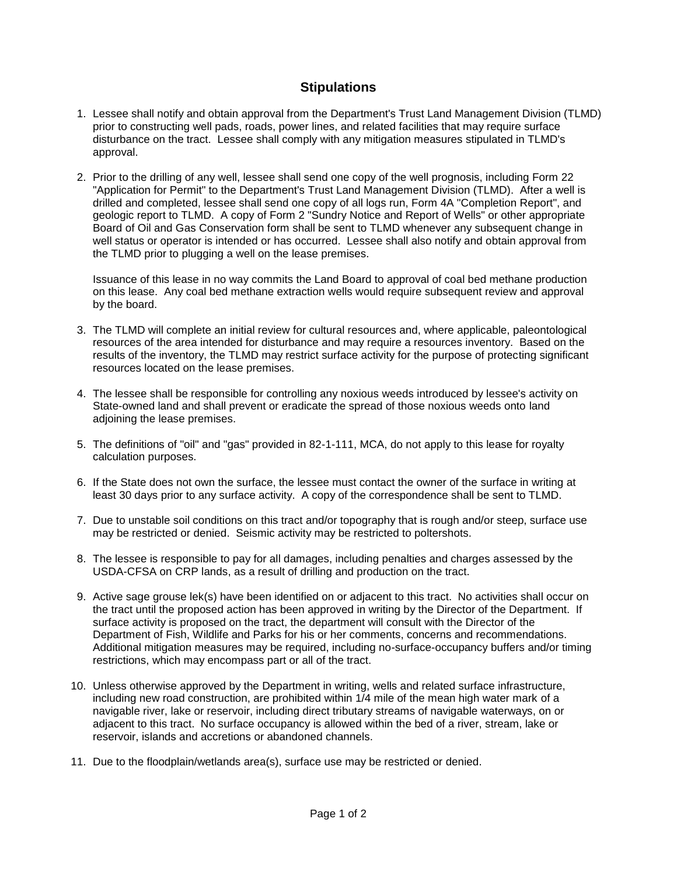## **Stipulations**

- 1. Lessee shall notify and obtain approval from the Department's Trust Land Management Division (TLMD) prior to constructing well pads, roads, power lines, and related facilities that may require surface disturbance on the tract. Lessee shall comply with any mitigation measures stipulated in TLMD's approval.
- 2. Prior to the drilling of any well, lessee shall send one copy of the well prognosis, including Form 22 "Application for Permit" to the Department's Trust Land Management Division (TLMD). After a well is drilled and completed, lessee shall send one copy of all logs run, Form 4A "Completion Report", and geologic report to TLMD. A copy of Form 2 "Sundry Notice and Report of Wells" or other appropriate Board of Oil and Gas Conservation form shall be sent to TLMD whenever any subsequent change in well status or operator is intended or has occurred. Lessee shall also notify and obtain approval from the TLMD prior to plugging a well on the lease premises.

Issuance of this lease in no way commits the Land Board to approval of coal bed methane production on this lease. Any coal bed methane extraction wells would require subsequent review and approval by the board.

- 3. The TLMD will complete an initial review for cultural resources and, where applicable, paleontological resources of the area intended for disturbance and may require a resources inventory. Based on the results of the inventory, the TLMD may restrict surface activity for the purpose of protecting significant resources located on the lease premises.
- 4. The lessee shall be responsible for controlling any noxious weeds introduced by lessee's activity on State-owned land and shall prevent or eradicate the spread of those noxious weeds onto land adjoining the lease premises.
- 5. The definitions of "oil" and "gas" provided in 82-1-111, MCA, do not apply to this lease for royalty calculation purposes.
- 6. If the State does not own the surface, the lessee must contact the owner of the surface in writing at least 30 days prior to any surface activity. A copy of the correspondence shall be sent to TLMD.
- 7. Due to unstable soil conditions on this tract and/or topography that is rough and/or steep, surface use may be restricted or denied. Seismic activity may be restricted to poltershots.
- 8. The lessee is responsible to pay for all damages, including penalties and charges assessed by the USDA-CFSA on CRP lands, as a result of drilling and production on the tract.
- 9. Active sage grouse lek(s) have been identified on or adjacent to this tract. No activities shall occur on the tract until the proposed action has been approved in writing by the Director of the Department. If surface activity is proposed on the tract, the department will consult with the Director of the Department of Fish, Wildlife and Parks for his or her comments, concerns and recommendations. Additional mitigation measures may be required, including no-surface-occupancy buffers and/or timing restrictions, which may encompass part or all of the tract.
- 10. Unless otherwise approved by the Department in writing, wells and related surface infrastructure, including new road construction, are prohibited within 1/4 mile of the mean high water mark of a navigable river, lake or reservoir, including direct tributary streams of navigable waterways, on or adjacent to this tract. No surface occupancy is allowed within the bed of a river, stream, lake or reservoir, islands and accretions or abandoned channels.
- 11. Due to the floodplain/wetlands area(s), surface use may be restricted or denied.